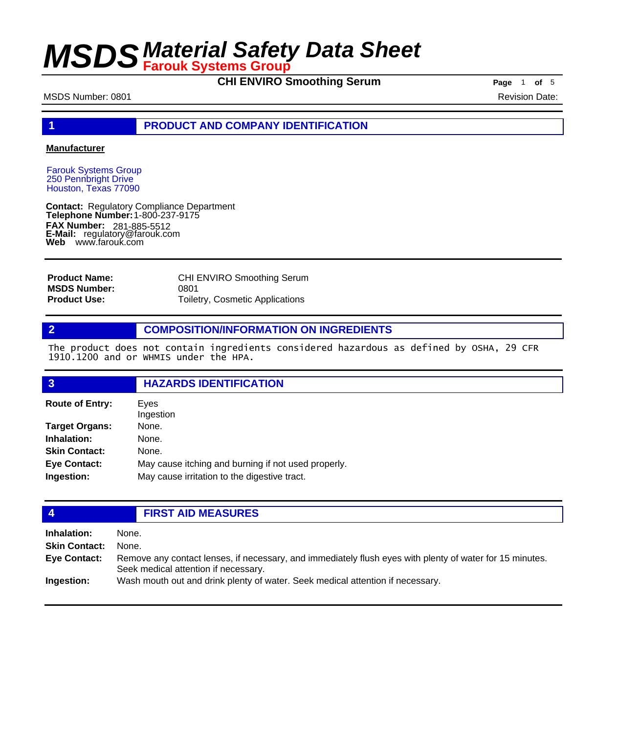**CHI ENVIRO Smoothing Serum** Page 1 of 5

#### MSDS Number: 0801 Revision Date:

### **1 PRODUCT AND COMPANY IDENTIFICATION**

#### **Manufacturer**

Farouk Systems Group 250 Pennbright Drive Houston, Texas 77090

**Contact: Telephone Number: FAX Number: FAX Number:** 281-885-5512<br>**E-Mail:** regulatory@farouk.com **Web** www.farouk.com Regulatory Compliance Department 1-800-237-9175

| <b>Product Name:</b> | CHI ENVIRO Smoothing Serum      |
|----------------------|---------------------------------|
| <b>MSDS Number:</b>  | 0801                            |
| <b>Product Use:</b>  | Toiletry, Cosmetic Applications |

### **2 COMPOSITION/INFORMATION ON INGREDIENTS**

The product does not contain ingredients considered hazardous as defined by OSHA, 29 CFR 1910.1200 and or WHMIS under the HPA.

| $\overline{3}$         | <b>HAZARDS IDENTIFICATION</b>                       |  |
|------------------------|-----------------------------------------------------|--|
| <b>Route of Entry:</b> | Eyes<br>Ingestion                                   |  |
| <b>Target Organs:</b>  | None.                                               |  |
| Inhalation:            | None.                                               |  |
| <b>Skin Contact:</b>   | None.                                               |  |
| <b>Eye Contact:</b>    | May cause itching and burning if not used properly. |  |
| Ingestion:             | May cause irritation to the digestive tract.        |  |
|                        |                                                     |  |

| $\overline{4}$       | <b>FIRST AID MEASURES</b>                                                                                                                        |  |
|----------------------|--------------------------------------------------------------------------------------------------------------------------------------------------|--|
| <b>Inhalation:</b>   | None.                                                                                                                                            |  |
| <b>Skin Contact:</b> | None.                                                                                                                                            |  |
| <b>Eye Contact:</b>  | Remove any contact lenses, if necessary, and immediately flush eyes with plenty of water for 15 minutes.<br>Seek medical attention if necessary. |  |
| Ingestion:           | Wash mouth out and drink plenty of water. Seek medical attention if necessary.                                                                   |  |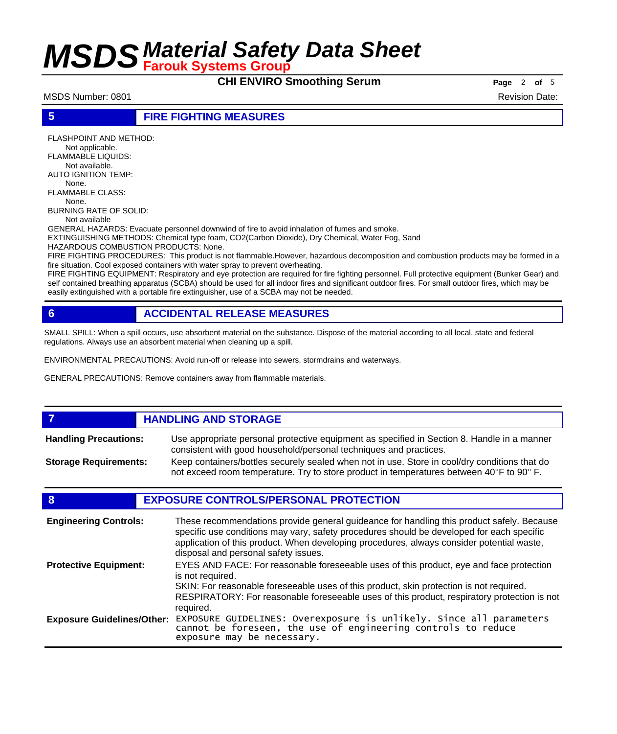# **CHI ENVIRO Smoothing Serum** Page 2 of 5

MSDS Number: 0801 Revision Date: 0801

### **5 FIRE FIGHTING MEASURES**

FLASHPOINT AND METHOD: Not applicable. FLAMMABLE LIQUIDS: Not available. AUTO IGNITION TEMP: None. FLAMMABLE CLASS: None. BURNING RATE OF SOLID: Not available

GENERAL HAZARDS: Evacuate personnel downwind of fire to avoid inhalation of fumes and smoke.

EXTINGUISHING METHODS: Chemical type foam, CO2(Carbon Dioxide), Dry Chemical, Water Fog, Sand HAZARDOUS COMBUSTION PRODUCTS: None.

FIRE FIGHTING PROCEDURES: This product is not flammable.However, hazardous decomposition and combustion products may be formed in a fire situation. Cool exposed containers with water spray to prevent overheating.

FIRE FIGHTING EQUIPMENT: Respiratory and eye protection are required for fire fighting personnel. Full protective equipment (Bunker Gear) and self contained breathing apparatus (SCBA) should be used for all indoor fires and significant outdoor fires. For small outdoor fires, which may be easily extinguished with a portable fire extinguisher, use of a SCBA may not be needed.

# **6 ACCIDENTAL RELEASE MEASURES**

SMALL SPILL: When a spill occurs, use absorbent material on the substance. Dispose of the material according to all local, state and federal regulations. Always use an absorbent material when cleaning up a spill.

ENVIRONMENTAL PRECAUTIONS: Avoid run-off or release into sewers, stormdrains and waterways.

GENERAL PRECAUTIONS: Remove containers away from flammable materials.

#### *HANDLING AND STORAGE* Use appropriate personal protective equipment as specified in Section 8. Handle in a manner consistent with good household/personal techniques and practices. **Handling Precautions:** Keep containers/bottles securely sealed when not in use. Store in cool/dry conditions that do not exceed room temperature. Try to store product in temperatures between 40°F to 90° F. **Storage Requirements:**

# **8 EXPOSURE CONTROLS/PERSONAL PROTECTION**

| <b>Engineering Controls:</b>      | These recommendations provide general guideance for handling this product safely. Because<br>specific use conditions may vary, safety procedures should be developed for each specific<br>application of this product. When developing procedures, always consider potential waste,<br>disposal and personal safety issues. |
|-----------------------------------|-----------------------------------------------------------------------------------------------------------------------------------------------------------------------------------------------------------------------------------------------------------------------------------------------------------------------------|
| <b>Protective Equipment:</b>      | EYES AND FACE: For reasonable foreseeable uses of this product, eye and face protection<br>is not required.<br>SKIN: For reasonable foreseeable uses of this product, skin protection is not required.<br>RESPIRATORY: For reasonable foreseeable uses of this product, respiratory protection is not<br>required.          |
| <b>Exposure Guidelines/Other:</b> | EXPOSURE GUIDELINES: Overexposure is unlikely. Since all parameters cannot be foreseen, the use of engineering controls to reduce<br>exposure may be necessary.                                                                                                                                                             |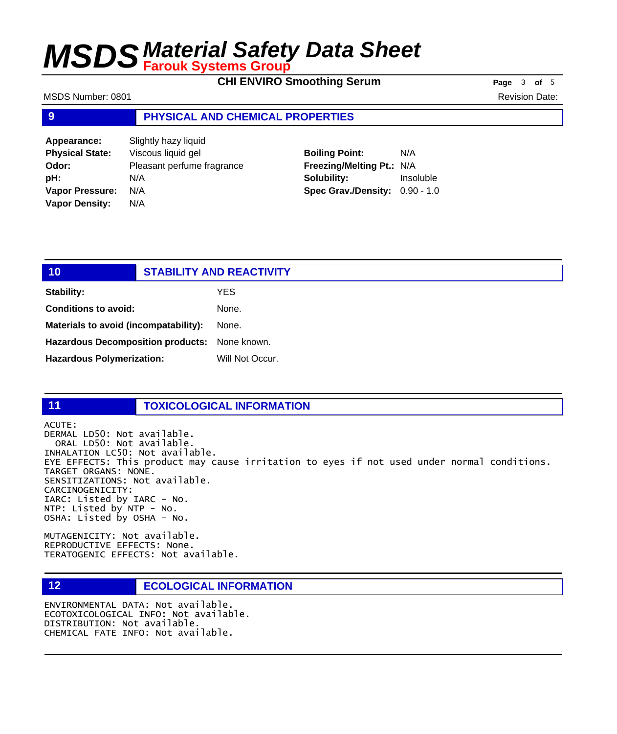**CHI ENVIRO Smoothing Serum Page** 3 of 5

| MSDS Number: 0801      |                                  |                           |           | <b>Revision Date:</b> |
|------------------------|----------------------------------|---------------------------|-----------|-----------------------|
| $\overline{9}$         | PHYSICAL AND CHEMICAL PROPERTIES |                           |           |                       |
| Appearance:            | Slightly hazy liquid             |                           |           |                       |
| <b>Physical State:</b> | Viscous liquid gel               | <b>Boiling Point:</b>     | N/A       |                       |
| Odor:                  | Pleasant perfume fragrance       | Freezing/Melting Pt.: N/A |           |                       |
| pH:                    | N/A                              | Solubility:               | Insoluble |                       |

**Spec Grav./Density:** 0.90 - 1.0

| 10                                            | <b>STABILITY AND REACTIVITY</b> |                 |
|-----------------------------------------------|---------------------------------|-----------------|
| <b>Stability:</b>                             |                                 | YES             |
| <b>Conditions to avoid:</b>                   |                                 | None.           |
| Materials to avoid (incompatability):         |                                 | None.           |
| Hazardous Decomposition products: None known. |                                 |                 |
| <b>Hazardous Polymerization:</b>              |                                 | Will Not Occur. |

**Vapor Pressure:** N/A **Vapor Density:** N/A

### **11 TOXICOLOGICAL INFORMATION**

ACUTE: DERMAL LD50: Not available. ORAL LD50: Not available. INHALATION LC50: Not available. EYE EFFECTS: This product may cause irritation to eyes if not used under normal conditions. TARGET ORGANS: NONE. SENSITIZATIONS: Not available. CARCINOGENICITY: IARC: Listed by IARC - No. NTP: Listed by NTP - No. OSHA: Listed by OSHA - No.

MUTAGENICITY: Not available. REPRODUCTIVE EFFECTS: None. TERATOGENIC EFFECTS: Not available.

## **12 ECOLOGICAL INFORMATION**

ENVIRONMENTAL DATA: Not available. ECOTOXICOLOGICAL INFO: Not available. DISTRIBUTION: Not available. CHEMICAL FATE INFO: Not available.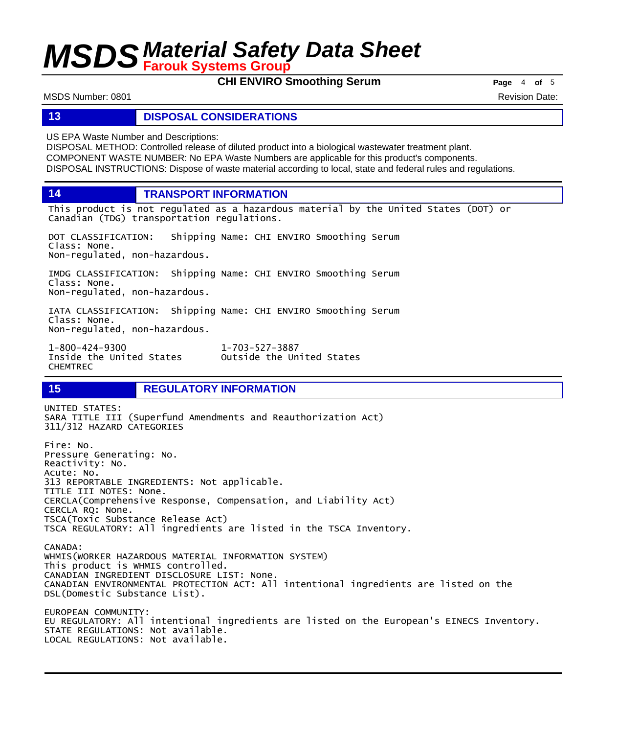**CHI ENVIRO Smoothing Serum Page** <sup>4</sup> **of** <sup>5</sup>

MSDS Number: 0801 Revision Date: 0801

### **13 DISPOSAL CONSIDERATIONS**

US EPA Waste Number and Descriptions:

DISPOSAL METHOD: Controlled release of diluted product into a biological wastewater treatment plant. COMPONENT WASTE NUMBER: No EPA Waste Numbers are applicable for this product's components. DISPOSAL INSTRUCTIONS: Dispose of waste material according to local, state and federal rules and regulations.

**14 TRANSPORT INFORMATION**

This product is not regulated as a hazardous material by the United States (DOT) or Canadian (TDG) transportation regulations.

Outside the United States

DOT CLASSIFICATION: Shipping Name: CHI ENVIRO Smoothing Serum Class: None. Non-regulated, non-hazardous.

IMDG CLASSIFICATION: Shipping Name: CHI ENVIRO Smoothing Serum Class: None. Non-regulated, non-hazardous.

IATA CLASSIFICATION: Shipping Name: CHI ENVIRO Smoothing Serum Class: None. Non-regulated, non-hazardous.

1-800-424-9300 1-703-527-3887 CHEMTREC

# **15 REGULATORY INFORMATION**

UNITED STATES: SARA TITLE III (Superfund Amendments and Reauthorization Act) 311/312 HAZARD CATEGORIES Fire: No. Pressure Generating: No. Reactivity: No. Acute: No. 313 REPORTABLE INGREDIENTS: Not applicable. TITLE III NOTES: None. CERCLA(Comprehensive Response, Compensation, and Liability Act) CERCLA RQ: None. TSCA(Toxic Substance Release Act) TSCA REGULATORY: All ingredients are listed in the TSCA Inventory. CANADA: WHMIS(WORKER HAZARDOUS MATERIAL INFORMATION SYSTEM) This product is WHMIS controlled. CANADIAN INGREDIENT DISCLOSURE LIST: None. CANADIAN ENVIRONMENTAL PROTECTION ACT: All intentional ingredients are listed on the DSL(Domestic Substance List). EUROPEAN COMMUNITY: EU REGULATORY: All intentional ingredients are listed on the European's EINECS Inventory. STATE REGULATIONS: Not available. LOCAL REGULATIONS: Not available.